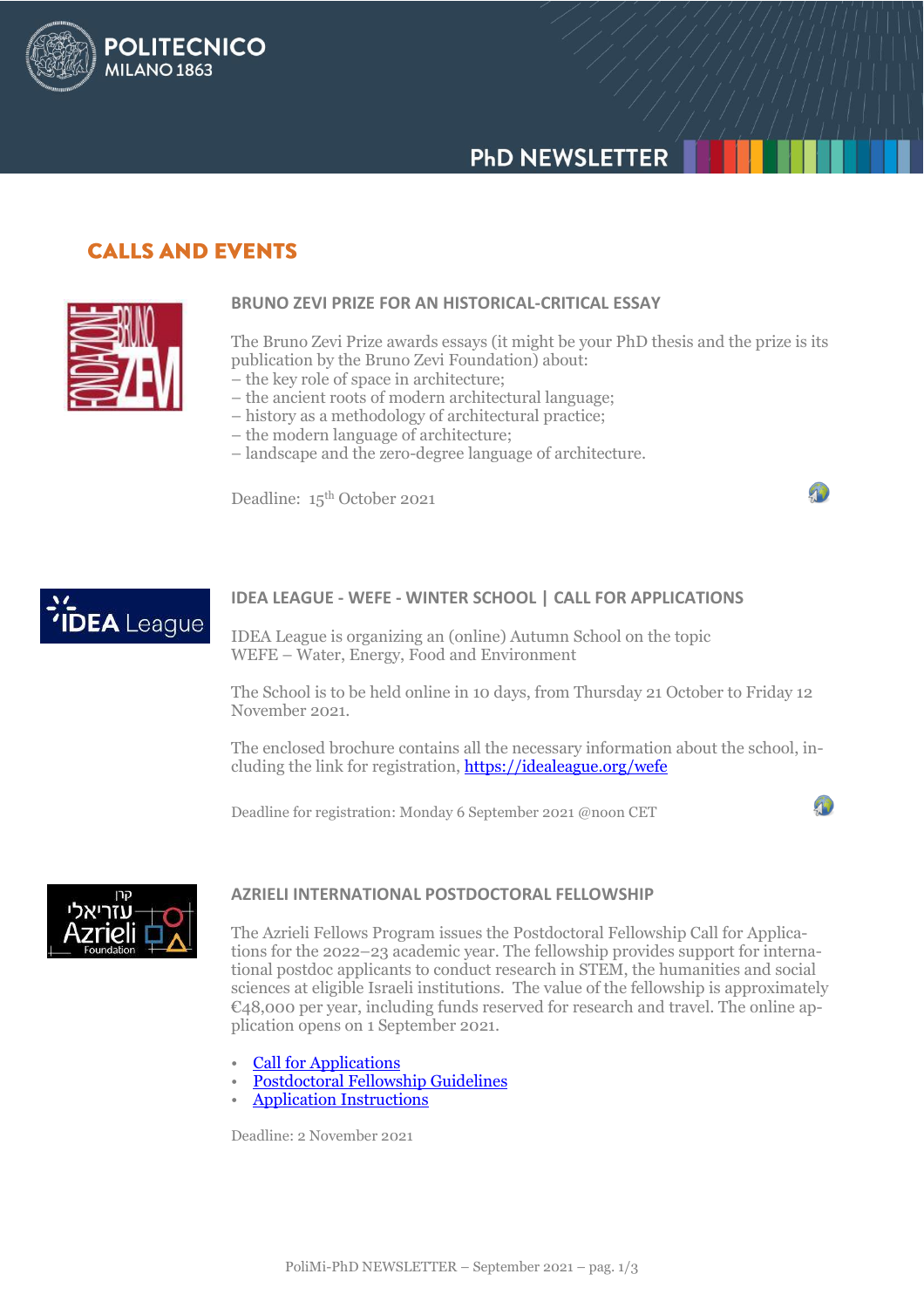# **PHD NEWSLETTER**

### **CALLS AND EVENTS**

**POLITECNICO** 

**MILANO 1863** 



'IDEA League

### **BRUNO ZEVI PRIZE FOR AN HISTORICAL-CRITICAL ESSAY**

The Bruno Zevi Prize awards essays (it might be your PhD thesis and the prize is its publication by the Bruno Zevi Foundation) about:

- the key role of space in architecture;
- the ancient roots of modern architectural language;
- history as a methodology of architectural practice;
	- the modern language of architecture;
	- landscape and the zero-degree language of architecture.

Deadline: 15<sup>th</sup> October 2021



IDEA League is organizing an (online) Autumn School on the topic WEFE – Water, Energy, Food and Environment

The School is to be held online in 10 days, from Thursday 21 October to Friday 12 November 2021.

The enclosed brochure contains all the necessary information about the school, including the link for registration,<https://idealeague.org/wefe>

Deadline for registration: Monday 6 September 2021 @noon CET



### **AZRIELI INTERNATIONAL POSTDOCTORAL FELLOWSHIP**

The Azrieli Fellows Program issues the Postdoctoral Fellowship Call for Applications for the 2022–23 academic year. The fellowship provides support for international postdoc applicants to conduct research in STEM, the humanities and social sciences at eligible Israeli institutions. The value of the fellowship is approximately €48,000 per year, including funds reserved for research and travel. The online application opens on 1 September 2021.

- [Call for Applications](https://azrielifoundation.org/the-azrieli-foundation-issues-a-call-for-applications-for-the-azrieli-international-postdoctoral-fellowship/?utm_source=euro&utm_medium=email&utm_campaign=postdoc2022)
- [Postdoctoral Fellowship Guidelines](https://azrielifoundation.org/wp-content/uploads/2021/07/Azrieli-Fellows-Program-IPD-Application-Guidelines.pdf)
- [Application Instructions](https://azrielifoundation.org/wp-content/uploads/2021/07/ApplicationInstructions.pdf)

Deadline: 2 November 2021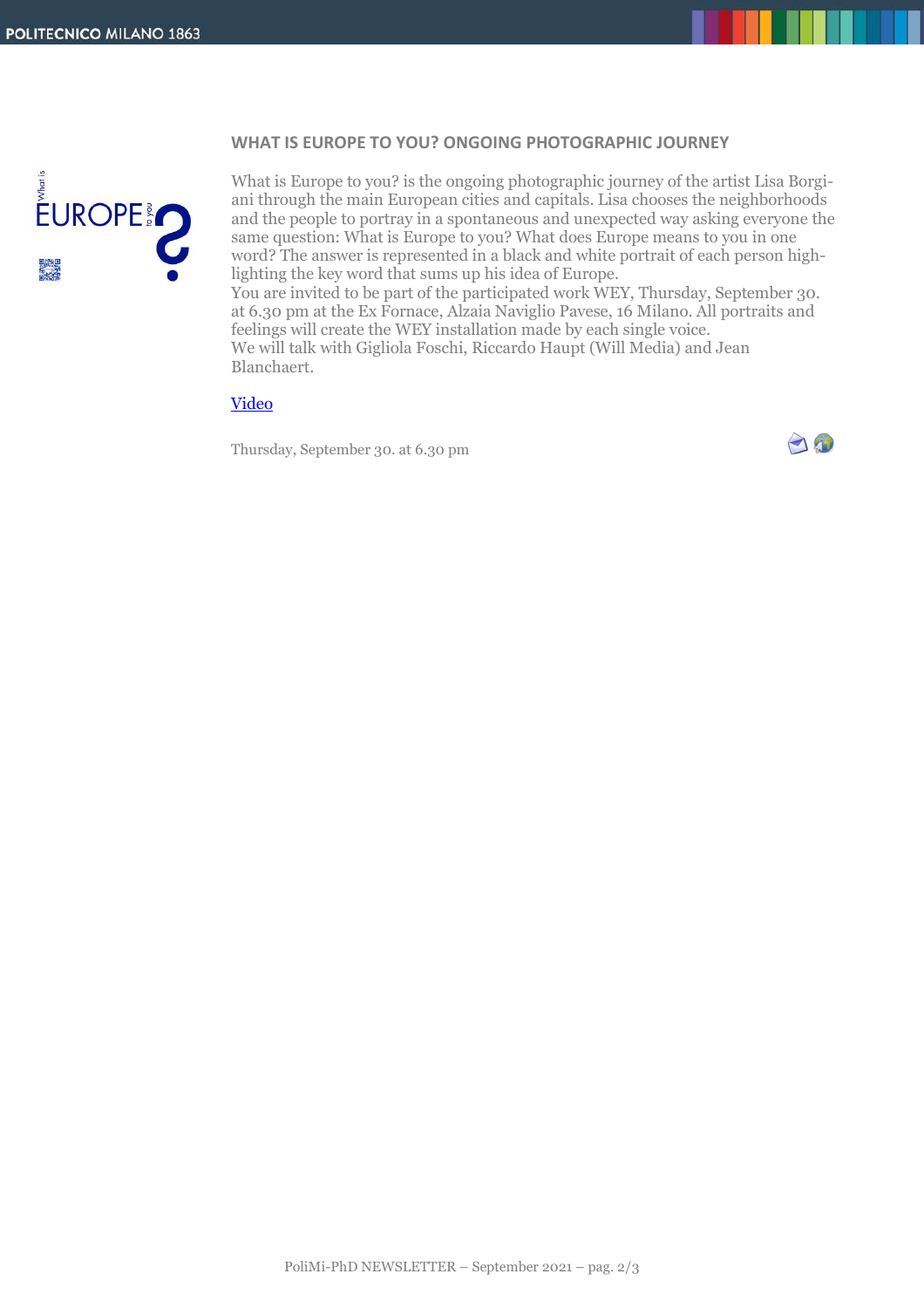#### **WHAT IS EUROPE TO YOU? ONGOING PHOTOGRAPHIC JOURNEY**



What is Europe to you? is the ongoing photographic journey of the artist Lisa Borgiani through the main European cities and capitals. Lisa chooses the neighborhoods and the people to portray in a spontaneous and unexpected way asking everyone the same question: What is Europe to you? What does Europe means to you in one word? The answer is represented in a black and white portrait of each person highlighting the key word that sums up his idea of Europe.

You are invited to be part of the participated work WEY, Thursday, September 30. at 6.30 pm at the Ex Fornace, Alzaia Naviglio Pavese, 16 Milano. All portraits and feelings will create the WEY installation made by each single voice. We will talk with Gigliola Foschi, Riccardo Haupt (Will Media) and Jean Blanchaert.

### [Video](https://www.youtube.com/watch?v=msgDEQkKiKo)

Thursday, September 30. at 6.30 pm